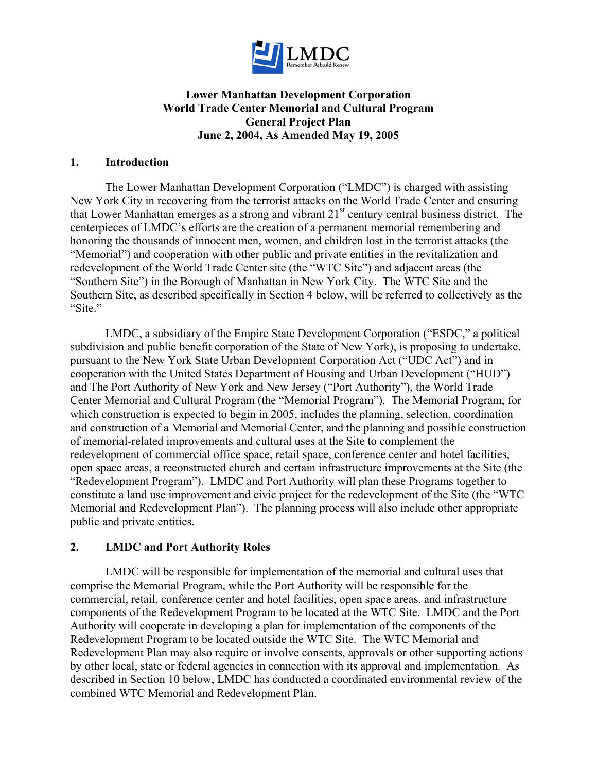

## **Lower Manhattan Development Corporation World Trade Center Memorial and Cultural Program General Project Plan June 2, 2004, As Amended May 19, 2005**

#### **1. Introduction**

The Lower Manhattan Development Corporation ("LMDC") is charged with assisting New York City in recovering from the terrorist attacks on the World Trade Center and ensuring that Lower Manhattan emerges as a strong and vibrant  $21<sup>st</sup>$  century central business district. The centerpieces of LMDC's efforts are the creation of a permanent memorial remembering and honoring the thousands of innocent men, women, and children lost in the terrorist attacks (the "Memorial") and cooperation with other public and private entities in the revitalization and redevelopment of the World Trade Center site (the "WTC Site") and adjacent areas (the "Southern Site") in the Borough of Manhattan in New York City. The WTC Site and the Southern Site, as described specifically in Section 4 below, will be referred to collectively as the "Site."

LMDC, a subsidiary of the Empire State Development Corporation ("ESDC," a political subdivision and public benefit corporation of the State of New York), is proposing to undertake, pursuant to the New York State Urban Development Corporation Act ("UDC Act") and in cooperation with the United States Department of Housing and Urban Development ("HUD") and The Port Authority of New York and New Jersey ("Port Authority"), the World Trade Center Memorial and Cultural Program (the "Memorial Program"). The Memorial Program, for which construction is expected to begin in 2005, includes the planning, selection, coordination and construction of a Memorial and Memorial Center, and the planning and possible construction of memorial-related improvements and cultural uses at the Site to complement the redevelopment of commercial office space, retail space, conference center and hotel facilities, open space areas, a reconstructed church and certain infrastructure improvements at the Site (the "Redevelopment Program"). LMDC and Port Authority will plan these Programs together to constitute a land use improvement and civic project for the redevelopment of the Site (the "WTC Memorial and Redevelopment Plan"). The planning process will also include other appropriate public and private entities.

#### **2. LMDC and Port Authority Roles**

LMDC will be responsible for implementation of the memorial and cultural uses that comprise the Memorial Program, while the Port Authority will be responsible for the commercial, retail, conference center and hotel facilities, open space areas, and infrastructure components of the Redevelopment Program to be located at the WTC Site. LMDC and the Port Authority will cooperate in developing a plan for implementation of the components of the Redevelopment Program to be located outside the WTC Site. The WTC Memorial and Redevelopment Plan may also require or involve consents, approvals or other supporting actions by other local, state or federal agencies in connection with its approval and implementation. As described in Section 10 below, LMDC has conducted a coordinated environmental review of the combined WTC Memorial and Redevelopment Plan.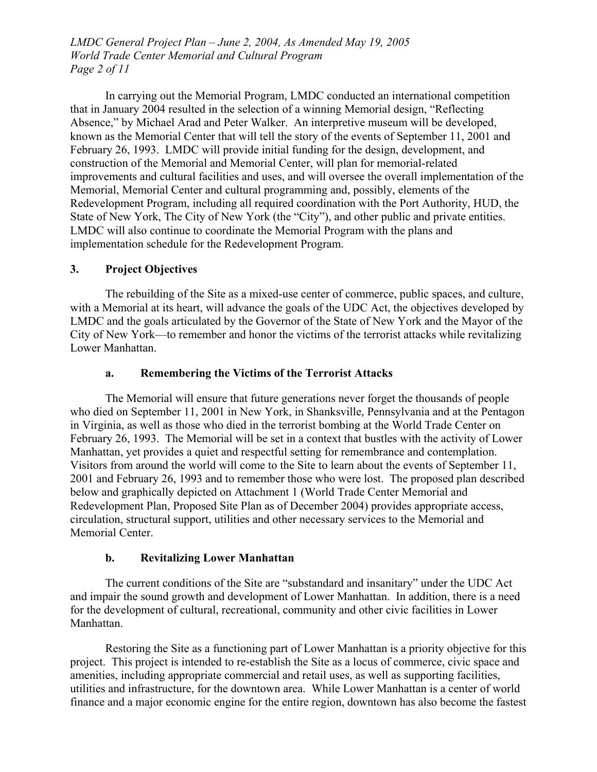*LMDC General Project Plan – June 2, 2004, As Amended May 19, 2005 World Trade Center Memorial and Cultural Program Page 2 of 11* 

In carrying out the Memorial Program, LMDC conducted an international competition that in January 2004 resulted in the selection of a winning Memorial design, "Reflecting Absence," by Michael Arad and Peter Walker. An interpretive museum will be developed, known as the Memorial Center that will tell the story of the events of September 11, 2001 and February 26, 1993. LMDC will provide initial funding for the design, development, and construction of the Memorial and Memorial Center, will plan for memorial-related improvements and cultural facilities and uses, and will oversee the overall implementation of the Memorial, Memorial Center and cultural programming and, possibly, elements of the Redevelopment Program, including all required coordination with the Port Authority, HUD, the State of New York, The City of New York (the "City"), and other public and private entities. LMDC will also continue to coordinate the Memorial Program with the plans and implementation schedule for the Redevelopment Program.

### **3. Project Objectives**

The rebuilding of the Site as a mixed-use center of commerce, public spaces, and culture, with a Memorial at its heart, will advance the goals of the UDC Act, the objectives developed by LMDC and the goals articulated by the Governor of the State of New York and the Mayor of the City of New York—to remember and honor the victims of the terrorist attacks while revitalizing Lower Manhattan.

### **a. Remembering the Victims of the Terrorist Attacks**

The Memorial will ensure that future generations never forget the thousands of people who died on September 11, 2001 in New York, in Shanksville, Pennsylvania and at the Pentagon in Virginia, as well as those who died in the terrorist bombing at the World Trade Center on February 26, 1993. The Memorial will be set in a context that bustles with the activity of Lower Manhattan, yet provides a quiet and respectful setting for remembrance and contemplation. Visitors from around the world will come to the Site to learn about the events of September 11, 2001 and February 26, 1993 and to remember those who were lost. The proposed plan described below and graphically depicted on Attachment 1 (World Trade Center Memorial and Redevelopment Plan, Proposed Site Plan as of December 2004) provides appropriate access, circulation, structural support, utilities and other necessary services to the Memorial and Memorial Center.

#### **b. Revitalizing Lower Manhattan**

The current conditions of the Site are "substandard and insanitary" under the UDC Act and impair the sound growth and development of Lower Manhattan. In addition, there is a need for the development of cultural, recreational, community and other civic facilities in Lower Manhattan.

Restoring the Site as a functioning part of Lower Manhattan is a priority objective for this project. This project is intended to re-establish the Site as a locus of commerce, civic space and amenities, including appropriate commercial and retail uses, as well as supporting facilities, utilities and infrastructure, for the downtown area. While Lower Manhattan is a center of world finance and a major economic engine for the entire region, downtown has also become the fastest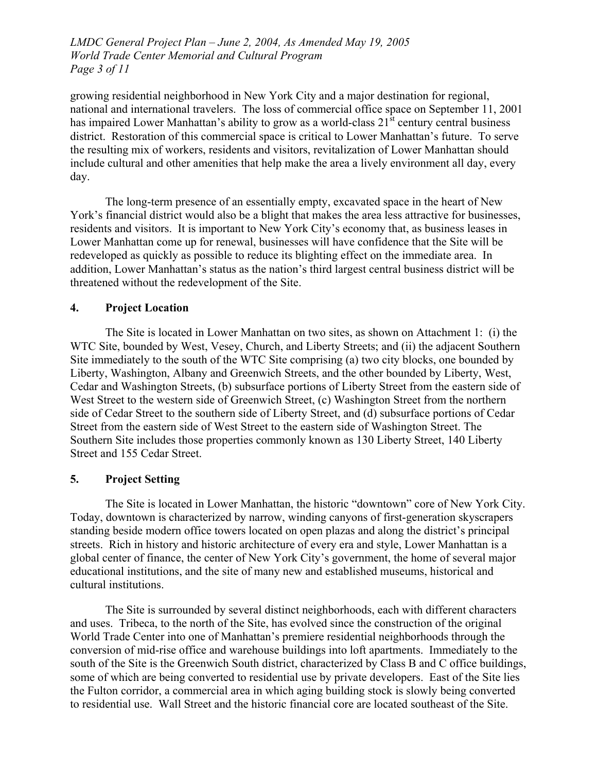*LMDC General Project Plan – June 2, 2004, As Amended May 19, 2005 World Trade Center Memorial and Cultural Program Page 3 of 11* 

growing residential neighborhood in New York City and a major destination for regional, national and international travelers. The loss of commercial office space on September 11, 2001 has impaired Lower Manhattan's ability to grow as a world-class  $21<sup>st</sup>$  century central business district. Restoration of this commercial space is critical to Lower Manhattan's future. To serve the resulting mix of workers, residents and visitors, revitalization of Lower Manhattan should include cultural and other amenities that help make the area a lively environment all day, every day.

The long-term presence of an essentially empty, excavated space in the heart of New York's financial district would also be a blight that makes the area less attractive for businesses, residents and visitors. It is important to New York City's economy that, as business leases in Lower Manhattan come up for renewal, businesses will have confidence that the Site will be redeveloped as quickly as possible to reduce its blighting effect on the immediate area. In addition, Lower Manhattan's status as the nation's third largest central business district will be threatened without the redevelopment of the Site.

### **4. Project Location**

The Site is located in Lower Manhattan on two sites, as shown on Attachment 1: (i) the WTC Site, bounded by West, Vesey, Church, and Liberty Streets; and (ii) the adjacent Southern Site immediately to the south of the WTC Site comprising (a) two city blocks, one bounded by Liberty, Washington, Albany and Greenwich Streets, and the other bounded by Liberty, West, Cedar and Washington Streets, (b) subsurface portions of Liberty Street from the eastern side of West Street to the western side of Greenwich Street, (c) Washington Street from the northern side of Cedar Street to the southern side of Liberty Street, and (d) subsurface portions of Cedar Street from the eastern side of West Street to the eastern side of Washington Street. The Southern Site includes those properties commonly known as 130 Liberty Street, 140 Liberty Street and 155 Cedar Street.

#### **5. Project Setting**

The Site is located in Lower Manhattan, the historic "downtown" core of New York City. Today, downtown is characterized by narrow, winding canyons of first-generation skyscrapers standing beside modern office towers located on open plazas and along the district's principal streets. Rich in history and historic architecture of every era and style, Lower Manhattan is a global center of finance, the center of New York City's government, the home of several major educational institutions, and the site of many new and established museums, historical and cultural institutions.

The Site is surrounded by several distinct neighborhoods, each with different characters and uses. Tribeca, to the north of the Site, has evolved since the construction of the original World Trade Center into one of Manhattan's premiere residential neighborhoods through the conversion of mid-rise office and warehouse buildings into loft apartments. Immediately to the south of the Site is the Greenwich South district, characterized by Class B and C office buildings, some of which are being converted to residential use by private developers. East of the Site lies the Fulton corridor, a commercial area in which aging building stock is slowly being converted to residential use. Wall Street and the historic financial core are located southeast of the Site.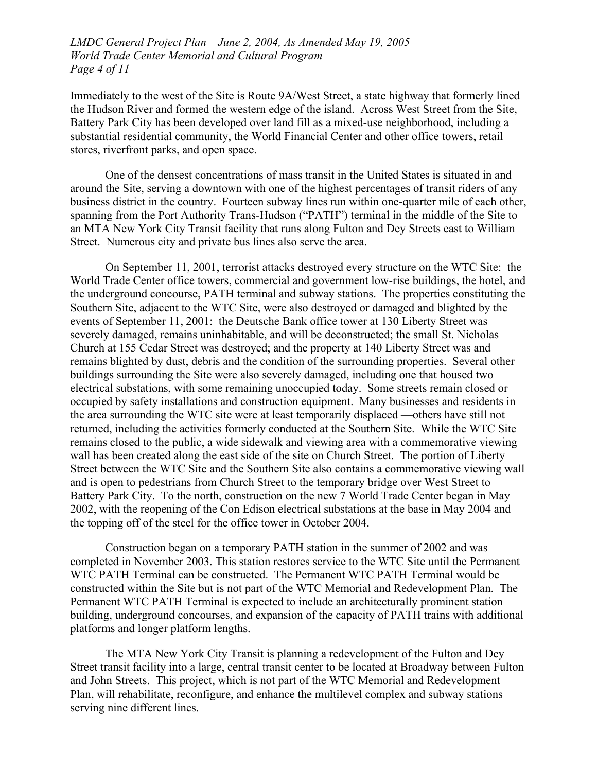*LMDC General Project Plan – June 2, 2004, As Amended May 19, 2005 World Trade Center Memorial and Cultural Program Page 4 of 11* 

Immediately to the west of the Site is Route 9A/West Street, a state highway that formerly lined the Hudson River and formed the western edge of the island. Across West Street from the Site, Battery Park City has been developed over land fill as a mixed-use neighborhood, including a substantial residential community, the World Financial Center and other office towers, retail stores, riverfront parks, and open space.

One of the densest concentrations of mass transit in the United States is situated in and around the Site, serving a downtown with one of the highest percentages of transit riders of any business district in the country. Fourteen subway lines run within one-quarter mile of each other, spanning from the Port Authority Trans-Hudson ("PATH") terminal in the middle of the Site to an MTA New York City Transit facility that runs along Fulton and Dey Streets east to William Street. Numerous city and private bus lines also serve the area.

On September 11, 2001, terrorist attacks destroyed every structure on the WTC Site: the World Trade Center office towers, commercial and government low-rise buildings, the hotel, and the underground concourse, PATH terminal and subway stations. The properties constituting the Southern Site, adjacent to the WTC Site, were also destroyed or damaged and blighted by the events of September 11, 2001: the Deutsche Bank office tower at 130 Liberty Street was severely damaged, remains uninhabitable, and will be deconstructed; the small St. Nicholas Church at 155 Cedar Street was destroyed; and the property at 140 Liberty Street was and remains blighted by dust, debris and the condition of the surrounding properties. Several other buildings surrounding the Site were also severely damaged, including one that housed two electrical substations, with some remaining unoccupied today. Some streets remain closed or occupied by safety installations and construction equipment. Many businesses and residents in the area surrounding the WTC site were at least temporarily displaced —others have still not returned, including the activities formerly conducted at the Southern Site. While the WTC Site remains closed to the public, a wide sidewalk and viewing area with a commemorative viewing wall has been created along the east side of the site on Church Street. The portion of Liberty Street between the WTC Site and the Southern Site also contains a commemorative viewing wall and is open to pedestrians from Church Street to the temporary bridge over West Street to Battery Park City. To the north, construction on the new 7 World Trade Center began in May 2002, with the reopening of the Con Edison electrical substations at the base in May 2004 and the topping off of the steel for the office tower in October 2004.

Construction began on a temporary PATH station in the summer of 2002 and was completed in November 2003. This station restores service to the WTC Site until the Permanent WTC PATH Terminal can be constructed. The Permanent WTC PATH Terminal would be constructed within the Site but is not part of the WTC Memorial and Redevelopment Plan. The Permanent WTC PATH Terminal is expected to include an architecturally prominent station building, underground concourses, and expansion of the capacity of PATH trains with additional platforms and longer platform lengths.

The MTA New York City Transit is planning a redevelopment of the Fulton and Dey Street transit facility into a large, central transit center to be located at Broadway between Fulton and John Streets. This project, which is not part of the WTC Memorial and Redevelopment Plan, will rehabilitate, reconfigure, and enhance the multilevel complex and subway stations serving nine different lines.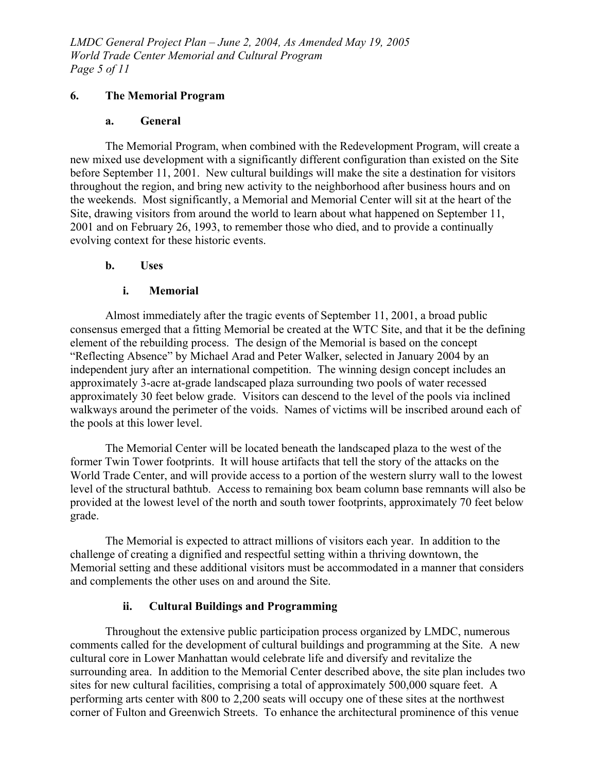*LMDC General Project Plan – June 2, 2004, As Amended May 19, 2005 World Trade Center Memorial and Cultural Program Page 5 of 11* 

#### **6. The Memorial Program**

#### **a. General**

The Memorial Program, when combined with the Redevelopment Program, will create a new mixed use development with a significantly different configuration than existed on the Site before September 11, 2001. New cultural buildings will make the site a destination for visitors throughout the region, and bring new activity to the neighborhood after business hours and on the weekends. Most significantly, a Memorial and Memorial Center will sit at the heart of the Site, drawing visitors from around the world to learn about what happened on September 11, 2001 and on February 26, 1993, to remember those who died, and to provide a continually evolving context for these historic events.

### **b. Uses**

### **i. Memorial**

Almost immediately after the tragic events of September 11, 2001, a broad public consensus emerged that a fitting Memorial be created at the WTC Site, and that it be the defining element of the rebuilding process. The design of the Memorial is based on the concept "Reflecting Absence" by Michael Arad and Peter Walker, selected in January 2004 by an independent jury after an international competition. The winning design concept includes an approximately 3-acre at-grade landscaped plaza surrounding two pools of water recessed approximately 30 feet below grade. Visitors can descend to the level of the pools via inclined walkways around the perimeter of the voids. Names of victims will be inscribed around each of the pools at this lower level.

The Memorial Center will be located beneath the landscaped plaza to the west of the former Twin Tower footprints. It will house artifacts that tell the story of the attacks on the World Trade Center, and will provide access to a portion of the western slurry wall to the lowest level of the structural bathtub. Access to remaining box beam column base remnants will also be provided at the lowest level of the north and south tower footprints, approximately 70 feet below grade.

The Memorial is expected to attract millions of visitors each year. In addition to the challenge of creating a dignified and respectful setting within a thriving downtown, the Memorial setting and these additional visitors must be accommodated in a manner that considers and complements the other uses on and around the Site.

## **ii. Cultural Buildings and Programming**

Throughout the extensive public participation process organized by LMDC, numerous comments called for the development of cultural buildings and programming at the Site. A new cultural core in Lower Manhattan would celebrate life and diversify and revitalize the surrounding area. In addition to the Memorial Center described above, the site plan includes two sites for new cultural facilities, comprising a total of approximately 500,000 square feet. A performing arts center with 800 to 2,200 seats will occupy one of these sites at the northwest corner of Fulton and Greenwich Streets. To enhance the architectural prominence of this venue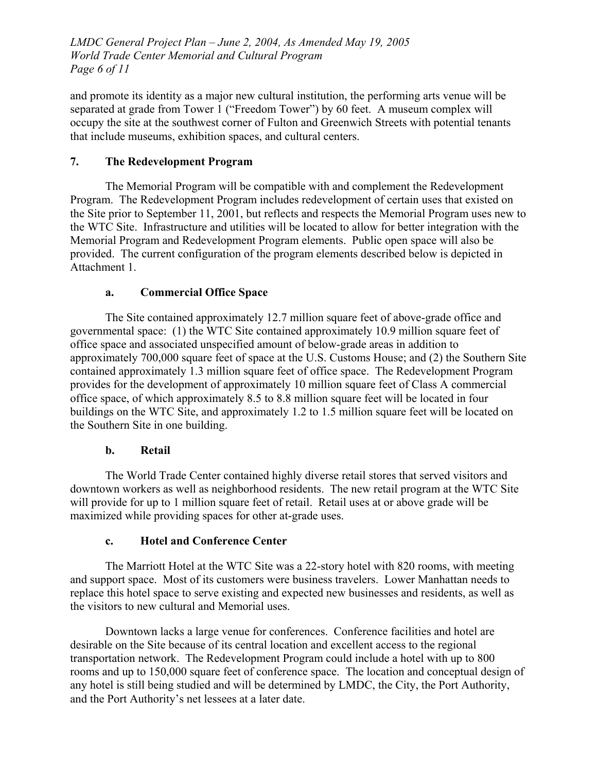*LMDC General Project Plan – June 2, 2004, As Amended May 19, 2005 World Trade Center Memorial and Cultural Program Page 6 of 11* 

and promote its identity as a major new cultural institution, the performing arts venue will be separated at grade from Tower 1 ("Freedom Tower") by 60 feet. A museum complex will occupy the site at the southwest corner of Fulton and Greenwich Streets with potential tenants that include museums, exhibition spaces, and cultural centers.

# **7. The Redevelopment Program**

The Memorial Program will be compatible with and complement the Redevelopment Program. The Redevelopment Program includes redevelopment of certain uses that existed on the Site prior to September 11, 2001, but reflects and respects the Memorial Program uses new to the WTC Site. Infrastructure and utilities will be located to allow for better integration with the Memorial Program and Redevelopment Program elements. Public open space will also be provided. The current configuration of the program elements described below is depicted in Attachment 1.

# **a. Commercial Office Space**

The Site contained approximately 12.7 million square feet of above-grade office and governmental space: (1) the WTC Site contained approximately 10.9 million square feet of office space and associated unspecified amount of below-grade areas in addition to approximately 700,000 square feet of space at the U.S. Customs House; and (2) the Southern Site contained approximately 1.3 million square feet of office space. The Redevelopment Program provides for the development of approximately 10 million square feet of Class A commercial office space, of which approximately 8.5 to 8.8 million square feet will be located in four buildings on the WTC Site, and approximately 1.2 to 1.5 million square feet will be located on the Southern Site in one building.

## **b. Retail**

The World Trade Center contained highly diverse retail stores that served visitors and downtown workers as well as neighborhood residents. The new retail program at the WTC Site will provide for up to 1 million square feet of retail. Retail uses at or above grade will be maximized while providing spaces for other at-grade uses.

## **c. Hotel and Conference Center**

The Marriott Hotel at the WTC Site was a 22-story hotel with 820 rooms, with meeting and support space. Most of its customers were business travelers. Lower Manhattan needs to replace this hotel space to serve existing and expected new businesses and residents, as well as the visitors to new cultural and Memorial uses.

Downtown lacks a large venue for conferences. Conference facilities and hotel are desirable on the Site because of its central location and excellent access to the regional transportation network. The Redevelopment Program could include a hotel with up to 800 rooms and up to 150,000 square feet of conference space. The location and conceptual design of any hotel is still being studied and will be determined by LMDC, the City, the Port Authority, and the Port Authority's net lessees at a later date.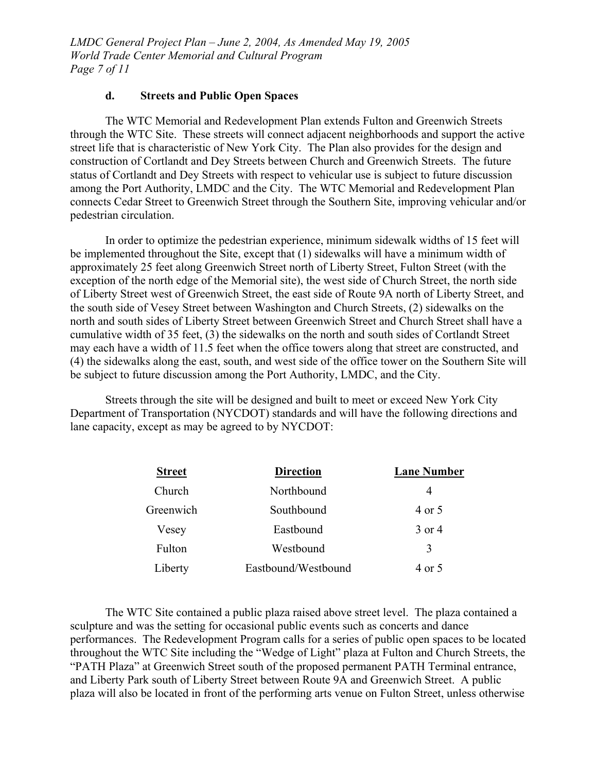*LMDC General Project Plan – June 2, 2004, As Amended May 19, 2005 World Trade Center Memorial and Cultural Program Page 7 of 11* 

#### **d. Streets and Public Open Spaces**

The WTC Memorial and Redevelopment Plan extends Fulton and Greenwich Streets through the WTC Site. These streets will connect adjacent neighborhoods and support the active street life that is characteristic of New York City. The Plan also provides for the design and construction of Cortlandt and Dey Streets between Church and Greenwich Streets. The future status of Cortlandt and Dey Streets with respect to vehicular use is subject to future discussion among the Port Authority, LMDC and the City. The WTC Memorial and Redevelopment Plan connects Cedar Street to Greenwich Street through the Southern Site, improving vehicular and/or pedestrian circulation.

In order to optimize the pedestrian experience, minimum sidewalk widths of 15 feet will be implemented throughout the Site, except that (1) sidewalks will have a minimum width of approximately 25 feet along Greenwich Street north of Liberty Street, Fulton Street (with the exception of the north edge of the Memorial site), the west side of Church Street, the north side of Liberty Street west of Greenwich Street, the east side of Route 9A north of Liberty Street, and the south side of Vesey Street between Washington and Church Streets, (2) sidewalks on the north and south sides of Liberty Street between Greenwich Street and Church Street shall have a cumulative width of 35 feet, (3) the sidewalks on the north and south sides of Cortlandt Street may each have a width of 11.5 feet when the office towers along that street are constructed, and (4) the sidewalks along the east, south, and west side of the office tower on the Southern Site will be subject to future discussion among the Port Authority, LMDC, and the City.

Streets through the site will be designed and built to meet or exceed New York City Department of Transportation (NYCDOT) standards and will have the following directions and lane capacity, except as may be agreed to by NYCDOT:

| <b>Street</b> | <b>Direction</b>    | <b>Lane Number</b> |
|---------------|---------------------|--------------------|
| Church        | Northbound          | 4                  |
| Greenwich     | Southbound          | 4 or 5             |
| Vesey         | Eastbound           | 3 or 4             |
| Fulton        | Westbound           | 3                  |
| Liberty       | Eastbound/Westbound | 4 or 5             |

The WTC Site contained a public plaza raised above street level. The plaza contained a sculpture and was the setting for occasional public events such as concerts and dance performances. The Redevelopment Program calls for a series of public open spaces to be located throughout the WTC Site including the "Wedge of Light" plaza at Fulton and Church Streets, the "PATH Plaza" at Greenwich Street south of the proposed permanent PATH Terminal entrance, and Liberty Park south of Liberty Street between Route 9A and Greenwich Street. A public plaza will also be located in front of the performing arts venue on Fulton Street, unless otherwise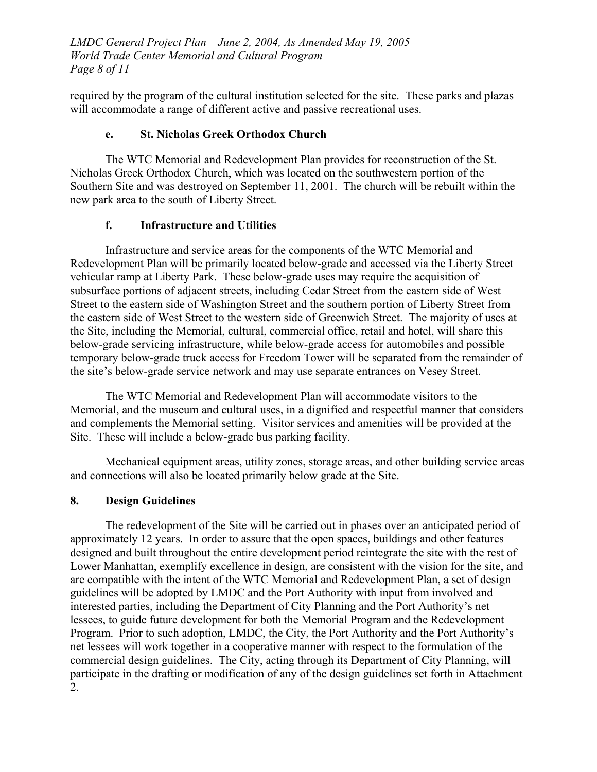*LMDC General Project Plan – June 2, 2004, As Amended May 19, 2005 World Trade Center Memorial and Cultural Program Page 8 of 11* 

required by the program of the cultural institution selected for the site. These parks and plazas will accommodate a range of different active and passive recreational uses.

# **e. St. Nicholas Greek Orthodox Church**

The WTC Memorial and Redevelopment Plan provides for reconstruction of the St. Nicholas Greek Orthodox Church, which was located on the southwestern portion of the Southern Site and was destroyed on September 11, 2001. The church will be rebuilt within the new park area to the south of Liberty Street.

# **f. Infrastructure and Utilities**

Infrastructure and service areas for the components of the WTC Memorial and Redevelopment Plan will be primarily located below-grade and accessed via the Liberty Street vehicular ramp at Liberty Park. These below-grade uses may require the acquisition of subsurface portions of adjacent streets, including Cedar Street from the eastern side of West Street to the eastern side of Washington Street and the southern portion of Liberty Street from the eastern side of West Street to the western side of Greenwich Street.The majority of uses at the Site, including the Memorial, cultural, commercial office, retail and hotel, will share this below-grade servicing infrastructure, while below-grade access for automobiles and possible temporary below-grade truck access for Freedom Tower will be separated from the remainder of the site's below-grade service network and may use separate entrances on Vesey Street.

The WTC Memorial and Redevelopment Plan will accommodate visitors to the Memorial, and the museum and cultural uses, in a dignified and respectful manner that considers and complements the Memorial setting. Visitor services and amenities will be provided at the Site. These will include a below-grade bus parking facility.

Mechanical equipment areas, utility zones, storage areas, and other building service areas and connections will also be located primarily below grade at the Site.

## **8. Design Guidelines**

The redevelopment of the Site will be carried out in phases over an anticipated period of approximately 12 years. In order to assure that the open spaces, buildings and other features designed and built throughout the entire development period reintegrate the site with the rest of Lower Manhattan, exemplify excellence in design, are consistent with the vision for the site, and are compatible with the intent of the WTC Memorial and Redevelopment Plan, a set of design guidelines will be adopted by LMDC and the Port Authority with input from involved and interested parties, including the Department of City Planning and the Port Authority's net lessees, to guide future development for both the Memorial Program and the Redevelopment Program. Prior to such adoption, LMDC, the City, the Port Authority and the Port Authority's net lessees will work together in a cooperative manner with respect to the formulation of the commercial design guidelines. The City, acting through its Department of City Planning, will participate in the drafting or modification of any of the design guidelines set forth in Attachment 2.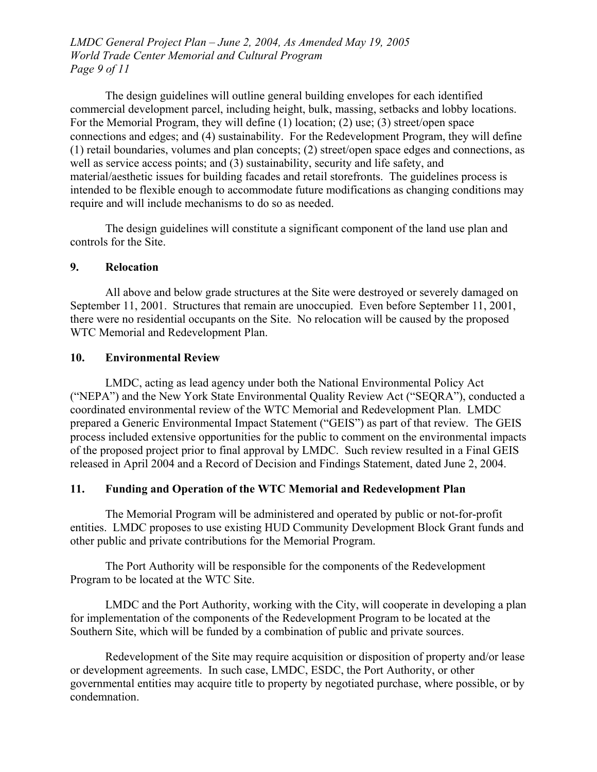*LMDC General Project Plan – June 2, 2004, As Amended May 19, 2005 World Trade Center Memorial and Cultural Program Page 9 of 11* 

The design guidelines will outline general building envelopes for each identified commercial development parcel, including height, bulk, massing, setbacks and lobby locations. For the Memorial Program, they will define (1) location; (2) use; (3) street/open space connections and edges; and (4) sustainability. For the Redevelopment Program, they will define (1) retail boundaries, volumes and plan concepts; (2) street/open space edges and connections, as well as service access points; and (3) sustainability, security and life safety, and material/aesthetic issues for building facades and retail storefronts. The guidelines process is intended to be flexible enough to accommodate future modifications as changing conditions may require and will include mechanisms to do so as needed.

The design guidelines will constitute a significant component of the land use plan and controls for the Site.

#### **9. Relocation**

All above and below grade structures at the Site were destroyed or severely damaged on September 11, 2001. Structures that remain are unoccupied. Even before September 11, 2001, there were no residential occupants on the Site. No relocation will be caused by the proposed WTC Memorial and Redevelopment Plan.

#### **10. Environmental Review**

LMDC, acting as lead agency under both the National Environmental Policy Act ("NEPA") and the New York State Environmental Quality Review Act ("SEQRA"), conducted a coordinated environmental review of the WTC Memorial and Redevelopment Plan. LMDC prepared a Generic Environmental Impact Statement ("GEIS") as part of that review. The GEIS process included extensive opportunities for the public to comment on the environmental impacts of the proposed project prior to final approval by LMDC. Such review resulted in a Final GEIS released in April 2004 and a Record of Decision and Findings Statement, dated June 2, 2004.

#### **11. Funding and Operation of the WTC Memorial and Redevelopment Plan**

The Memorial Program will be administered and operated by public or not-for-profit entities. LMDC proposes to use existing HUD Community Development Block Grant funds and other public and private contributions for the Memorial Program.

The Port Authority will be responsible for the components of the Redevelopment Program to be located at the WTC Site.

LMDC and the Port Authority, working with the City, will cooperate in developing a plan for implementation of the components of the Redevelopment Program to be located at the Southern Site, which will be funded by a combination of public and private sources.

Redevelopment of the Site may require acquisition or disposition of property and/or lease or development agreements. In such case, LMDC, ESDC, the Port Authority, or other governmental entities may acquire title to property by negotiated purchase, where possible, or by condemnation.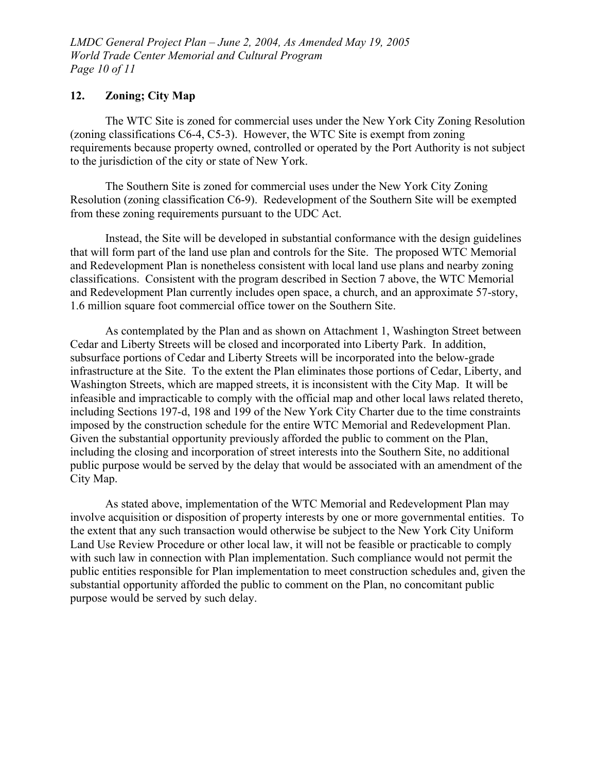*LMDC General Project Plan – June 2, 2004, As Amended May 19, 2005 World Trade Center Memorial and Cultural Program Page 10 of 11* 

#### **12. Zoning; City Map**

The WTC Site is zoned for commercial uses under the New York City Zoning Resolution (zoning classifications C6-4, C5-3). However, the WTC Site is exempt from zoning requirements because property owned, controlled or operated by the Port Authority is not subject to the jurisdiction of the city or state of New York.

The Southern Site is zoned for commercial uses under the New York City Zoning Resolution (zoning classification C6-9). Redevelopment of the Southern Site will be exempted from these zoning requirements pursuant to the UDC Act.

Instead, the Site will be developed in substantial conformance with the design guidelines that will form part of the land use plan and controls for the Site. The proposed WTC Memorial and Redevelopment Plan is nonetheless consistent with local land use plans and nearby zoning classifications. Consistent with the program described in Section 7 above, the WTC Memorial and Redevelopment Plan currently includes open space, a church, and an approximate 57-story, 1.6 million square foot commercial office tower on the Southern Site.

As contemplated by the Plan and as shown on Attachment 1, Washington Street between Cedar and Liberty Streets will be closed and incorporated into Liberty Park. In addition, subsurface portions of Cedar and Liberty Streets will be incorporated into the below-grade infrastructure at the Site. To the extent the Plan eliminates those portions of Cedar, Liberty, and Washington Streets, which are mapped streets, it is inconsistent with the City Map. It will be infeasible and impracticable to comply with the official map and other local laws related thereto, including Sections 197-d, 198 and 199 of the New York City Charter due to the time constraints imposed by the construction schedule for the entire WTC Memorial and Redevelopment Plan. Given the substantial opportunity previously afforded the public to comment on the Plan, including the closing and incorporation of street interests into the Southern Site, no additional public purpose would be served by the delay that would be associated with an amendment of the City Map.

As stated above, implementation of the WTC Memorial and Redevelopment Plan may involve acquisition or disposition of property interests by one or more governmental entities. To the extent that any such transaction would otherwise be subject to the New York City Uniform Land Use Review Procedure or other local law, it will not be feasible or practicable to comply with such law in connection with Plan implementation. Such compliance would not permit the public entities responsible for Plan implementation to meet construction schedules and, given the substantial opportunity afforded the public to comment on the Plan, no concomitant public purpose would be served by such delay.